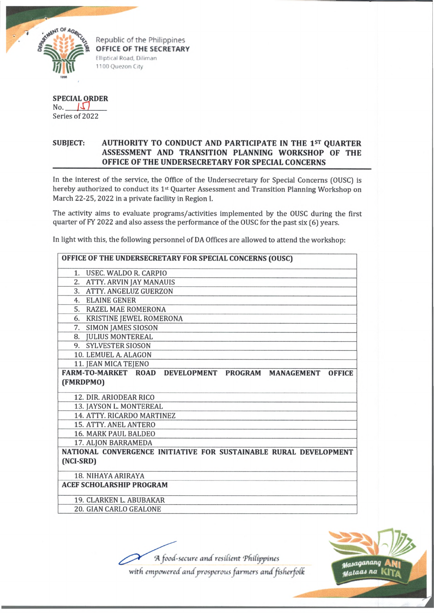

OFFICE OF THE SECRETARY Elliptical Road. Diliman 1100 Quezon City

**SPECIAL ORDER** No. *IXI* Series of 2022

## **SUBJECT: AUTHORITY TO CONDUCT AND PARTICIPATE IN THE 1st QUARTER ASSESSM ENT AND TRANSITION PLANNING WORKSHOP OF THE OFFICE OF THE UNDERSECRETARY FOR SPECIAL CONCERNS**

In the interest of the service, the Office of the Undersecretary for Special Concerns (OUSC) is hereby authorized to conduct its 1<sup>st</sup> Quarter Assessment and Transition Planning Workshop on March 22-25,2022 in a private facility in Region I.

The activity aims to evaluate programs/activities implemented by the OUSC during the first quarter of FY 2022 and also assess the performance of the OUSC for the past six (6) years.

In light with this, the following personnel of DA Offices are allowed to attend the workshop:

| OFFICE OF THE UNDERSECRETARY FOR SPECIAL CONCERNS (OUSC)                                                 |
|----------------------------------------------------------------------------------------------------------|
| 1. USEC. WALDO R. CARPIO                                                                                 |
| 2. ATTY. ARVIN JAY MANAUIS                                                                               |
| 3. ATTY. ANGELUZ GUERZON                                                                                 |
| 4. ELAINE GENER                                                                                          |
| 5. RAZEL MAE ROMERONA                                                                                    |
| 6. KRISTINE JEWEL ROMERONA                                                                               |
| 7. SIMON JAMES SIOSON                                                                                    |
| 8. JULIUS MONTEREAL                                                                                      |
| 9. SYLVESTER SIOSON                                                                                      |
| 10. LEMUEL A. ALAGON                                                                                     |
| 11. JEAN MICA TEJENO                                                                                     |
| <b>FARM-TO-MARKET ROAD</b><br><b>DEVELOPMENT</b><br><b>PROGRAM</b><br><b>MANAGEMENT</b><br><b>OFFICE</b> |
| (FMRDPMO)                                                                                                |
| 12. DIR. ARIODEAR RICO                                                                                   |
| 13. JAYSON L. MONTEREAL                                                                                  |
| 14. ATTY. RICARDO MARTINEZ                                                                               |
| 15. ATTY. ANEL ANTERO                                                                                    |
| <b>16. MARK PAUL BALDEO</b>                                                                              |
| 17. ALJON BARRAMEDA                                                                                      |
| NATIONAL CONVERGENCE INITIATIVE FOR SUSTAINABLE RURAL DEVELOPMENT                                        |
| (NCI-SRD)                                                                                                |
| 18. NIHAYA ARIRAYA                                                                                       |
| <b>ACEF SCHOLARSHIP PROGRAM</b>                                                                          |
| 19. CLARKEN L. ABUBAKAR                                                                                  |
| <b>20. GIAN CARLO GEALONE</b>                                                                            |

'A *food-secure and resilient 'Philippines*



*with empowered and prosperous farmers and fisherfolk*